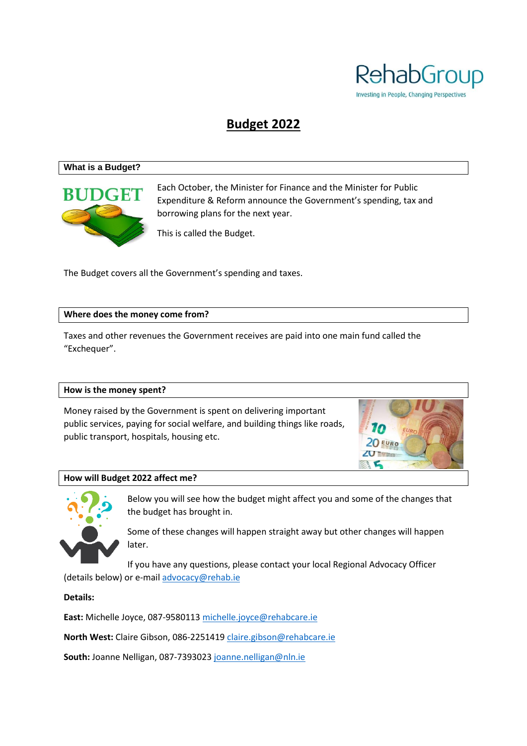

# **Budget 2022**

#### **What is a Budget?**



Each October, the Minister for Finance and the Minister for Public Expenditure & Reform announce the Government's spending, tax and borrowing plans for the next year.

This is called the Budget.

The Budget covers all the Government's spending and taxes.

#### **Where does the money come from?**

Taxes and other revenues the Government receives are paid into one main fund called the "Exchequer".

#### **How is the money spent?**

Money raised by the Government is spent on delivering important public services, paying for social welfare, and building things like roads, public transport, hospitals, housing etc.



#### **How will Budget 2022 affect me?**



Below you will see how the budget might affect you and some of the changes that the budget has brought in.

Some of these changes will happen straight away but other changes will happen later.

If you have any questions, please contact your local Regional Advocacy Officer (details below) or e-mail [advocacy@rehab.ie](mailto:advocacy@rehab.ie)

**Details:** 

**East:** Michelle Joyce, 087-9580113 [michelle.joyce@rehabcare.ie](mailto:michelle.joyce@rehabcare.ie)

**North West:** Claire Gibson, 086-2251419 [claire.gibson@rehabcare.ie](mailto:claire.gibson@rehabcare.ie)

**South:** Joanne Nelligan, 087-7393023 [joanne.nelligan@nln.ie](mailto:joanne.nelligan@nln.ie)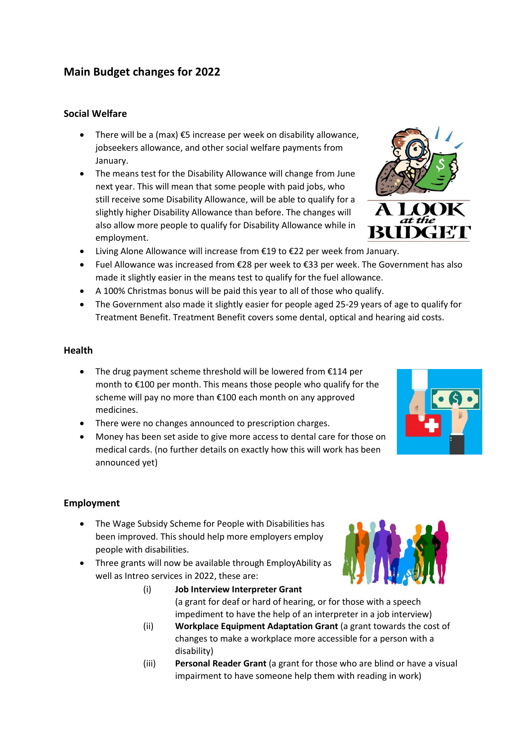## **Main Budget changes for 2022**

## **Social Welfare**

- There will be a (max) €5 increase per week on disability allowance, jobseekers allowance, and other social welfare payments from January.
- The means test for the Disability Allowance will change from June next year. This will mean that some people with paid jobs, who still receive some Disability Allowance, will be able to qualify for a slightly higher Disability Allowance than before. The changes will also allow more people to qualify for Disability Allowance while in employment.
- Living Alone Allowance will increase from €19 to €22 per week from January.
- Fuel Allowance was increased from €28 per week to €33 per week. The Government has also made it slightly easier in the means test to qualify for the fuel allowance.
- A 100% Christmas bonus will be paid this year to all of those who qualify.
- The Government also made it slightly easier for people aged 25-29 years of age to qualify for Treatment Benefit. Treatment Benefit covers some dental, optical and hearing aid costs.

#### **Health**

- The drug payment scheme threshold will be lowered from €114 per month to €100 per month. This means those people who qualify for the scheme will pay no more than €100 each month on any approved medicines.
- There were no changes announced to prescription charges.
- Money has been set aside to give more access to dental care for those on medical cards. (no further details on exactly how this will work has been announced yet)

#### **Employment**

- The Wage Subsidy Scheme for People with Disabilities has been improved. This should help more employers employ people with disabilities.
- Three grants will now be available through EmployAbility as well as Intreo services in 2022, these are:
	- (i) **Job Interview Interpreter Grant** (a grant for deaf or hard of hearing, or for those with a speech impediment to have the help of an interpreter in a job interview)
	- (ii) **Workplace Equipment Adaptation Grant** (a grant towards the cost of changes to make a workplace more accessible for a person with a disability)
	- (iii) **Personal Reader Grant** (a grant for those who are blind or have a visual impairment to have someone help them with reading in work)